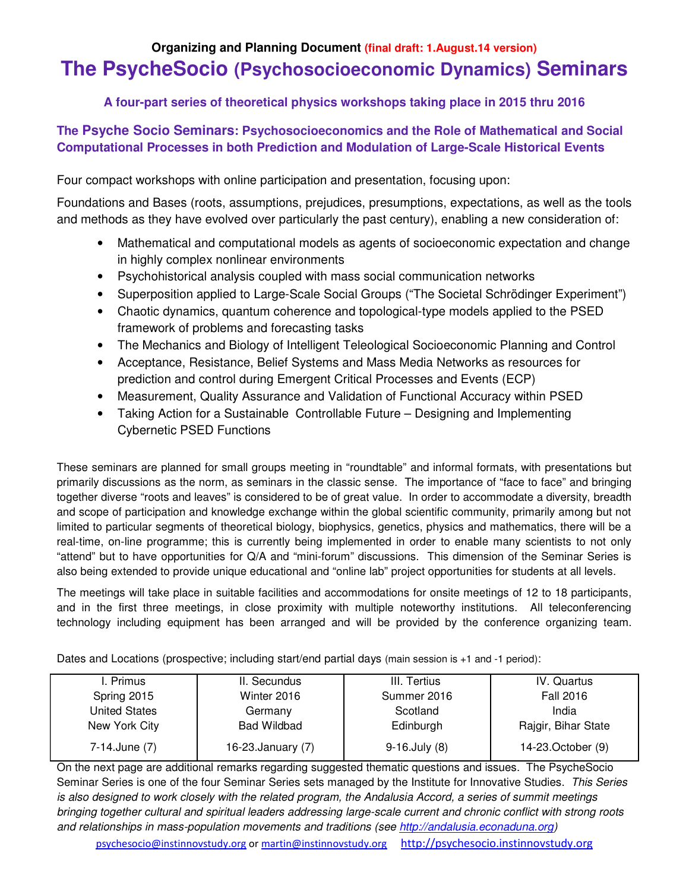# **Organizing and Planning Document (final draft: 1.August.14 version) The PsycheSocio (Psychosocioeconomic Dynamics) Seminars**

**A four-part series of theoretical physics workshops taking place in 2015 thru 2016**

## **The Psyche Socio Seminars: Psychosocioeconomics and the Role of Mathematical and Social Computational Processes in both Prediction and Modulation of Large-Scale Historical Events**

Four compact workshops with online participation and presentation, focusing upon:

Foundations and Bases (roots, assumptions, prejudices, presumptions, expectations, as well as the tools and methods as they have evolved over particularly the past century), enabling a new consideration of:

- Mathematical and computational models as agents of socioeconomic expectation and change in highly complex nonlinear environments
- Psychohistorical analysis coupled with mass social communication networks
- Superposition applied to Large-Scale Social Groups ("The Societal Schrödinger Experiment")
- Chaotic dynamics, quantum coherence and topological-type models applied to the PSED framework of problems and forecasting tasks
- The Mechanics and Biology of Intelligent Teleological Socioeconomic Planning and Control
- Acceptance, Resistance, Belief Systems and Mass Media Networks as resources for prediction and control during Emergent Critical Processes and Events (ECP)
- Measurement, Quality Assurance and Validation of Functional Accuracy within PSED
- Taking Action for a Sustainable Controllable Future Designing and Implementing Cybernetic PSED Functions

These seminars are planned for small groups meeting in "roundtable" and informal formats, with presentations but primarily discussions as the norm, as seminars in the classic sense. The importance of "face to face" and bringing together diverse "roots and leaves" is considered to be of great value. In order to accommodate a diversity, breadth and scope of participation and knowledge exchange within the global scientific community, primarily among but not limited to particular segments of theoretical biology, biophysics, genetics, physics and mathematics, there will be a real-time, on-line programme; this is currently being implemented in order to enable many scientists to not only "attend" but to have opportunities for Q/A and "mini-forum" discussions. This dimension of the Seminar Series is also being extended to provide unique educational and "online lab" project opportunities for students at all levels.

The meetings will take place in suitable facilities and accommodations for onsite meetings of 12 to 18 participants, and in the first three meetings, in close proximity with multiple noteworthy institutions. All teleconferencing technology including equipment has been arranged and will be provided by the conference organizing team.

Dates and Locations (prospective; including start/end partial days (main session is +1 and -1 period):

| I. Primus            | II. Secundus       | III. Tertius        | IV. Quartus         |
|----------------------|--------------------|---------------------|---------------------|
| Spring 2015          | Winter 2016        | Summer 2016         | Fall 2016           |
| <b>United States</b> | Germany            | Scotland            | India               |
| New York City        | <b>Bad Wildbad</b> | Edinburgh           | Rajgir, Bihar State |
| 7-14. June (7)       | 16-23. January (7) | $9-16$ . July $(8)$ | 14-23. October (9)  |

On the next page are additional remarks regarding suggested thematic questions and issues. The PsycheSocio Seminar Series is one of the four Seminar Series sets managed by the Institute for Innovative Studies. *This Series is also designed to work closely with the related program, the Andalusia Accord, a series of summit meetings bringing together cultural and spiritual leaders addressing large-scale current and chronic conflict with strong roots and relationships in mass-population movements and traditions (see http://andalusia.econaduna.org)*